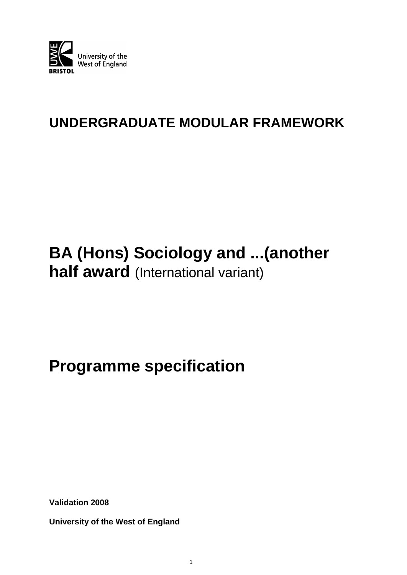

# **UNDERGRADUATE MODULAR FRAMEWORK**

# **BA (Hons) Sociology and ...(another half award** (International variant)

# **Programme specification**

**Validation 2008**

**University of the West of England**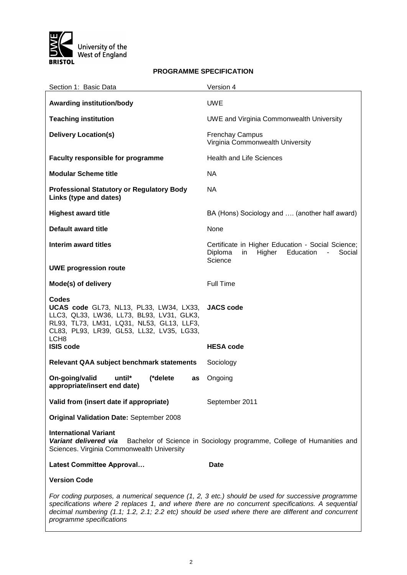

#### **PROGRAMME SPECIFICATION**

| Section 1: Basic Data                                                                                                                                                                                                                                                                                                                   | Version 4                                                                                                                        |  |
|-----------------------------------------------------------------------------------------------------------------------------------------------------------------------------------------------------------------------------------------------------------------------------------------------------------------------------------------|----------------------------------------------------------------------------------------------------------------------------------|--|
| <b>Awarding institution/body</b>                                                                                                                                                                                                                                                                                                        | <b>UWE</b>                                                                                                                       |  |
| <b>Teaching institution</b>                                                                                                                                                                                                                                                                                                             | <b>UWE and Virginia Commonwealth University</b>                                                                                  |  |
| <b>Delivery Location(s)</b>                                                                                                                                                                                                                                                                                                             | <b>Frenchay Campus</b><br>Virginia Commonwealth University                                                                       |  |
| Faculty responsible for programme                                                                                                                                                                                                                                                                                                       | <b>Health and Life Sciences</b>                                                                                                  |  |
| <b>Modular Scheme title</b>                                                                                                                                                                                                                                                                                                             | <b>NA</b>                                                                                                                        |  |
| <b>Professional Statutory or Regulatory Body</b><br>Links (type and dates)                                                                                                                                                                                                                                                              | <b>NA</b>                                                                                                                        |  |
| <b>Highest award title</b>                                                                                                                                                                                                                                                                                                              | BA (Hons) Sociology and  (another half award)                                                                                    |  |
| Default award title                                                                                                                                                                                                                                                                                                                     | None                                                                                                                             |  |
| Interim award titles                                                                                                                                                                                                                                                                                                                    | Certificate in Higher Education - Social Science;<br>Diploma<br>Higher<br>Education<br>in<br>Social<br>$\blacksquare$<br>Science |  |
| <b>UWE progression route</b>                                                                                                                                                                                                                                                                                                            |                                                                                                                                  |  |
| Mode(s) of delivery                                                                                                                                                                                                                                                                                                                     | <b>Full Time</b>                                                                                                                 |  |
| Codes<br>UCAS code GL73, NL13, PL33, LW34, LX33,<br>LLC3, QL33, LW36, LL73, BL93, LV31, GLK3,<br>RL93, TL73, LM31, LQ31, NL53, GL13, LLF3,<br>CL83, PL93, LR39, GL53, LL32, LV35, LG33,<br>LCH <sub>8</sub>                                                                                                                             | <b>JACS code</b>                                                                                                                 |  |
| <b>ISIS code</b>                                                                                                                                                                                                                                                                                                                        | <b>HESA code</b>                                                                                                                 |  |
| <b>Relevant QAA subject benchmark statements</b>                                                                                                                                                                                                                                                                                        | Sociology                                                                                                                        |  |
| On-going/valid<br>until*<br>(*delete<br>as<br>appropriate/insert end date)                                                                                                                                                                                                                                                              | Ongoing                                                                                                                          |  |
| Valid from (insert date if appropriate)                                                                                                                                                                                                                                                                                                 | September 2011                                                                                                                   |  |
| <b>Original Validation Date: September 2008</b>                                                                                                                                                                                                                                                                                         |                                                                                                                                  |  |
| <b>International Variant</b><br>Variant delivered via<br>Bachelor of Science in Sociology programme, College of Humanities and<br>Sciences. Virginia Commonwealth University                                                                                                                                                            |                                                                                                                                  |  |
| <b>Latest Committee Approval</b>                                                                                                                                                                                                                                                                                                        | Date                                                                                                                             |  |
| <b>Version Code</b>                                                                                                                                                                                                                                                                                                                     |                                                                                                                                  |  |
| For coding purposes, a numerical sequence (1, 2, 3 etc.) should be used for successive programme<br>specifications where 2 replaces 1, and where there are no concurrent specifications. A sequential<br>decimal numbering (1.1; 1.2, 2.1; 2.2 etc) should be used where there are different and concurrent<br>programme specifications |                                                                                                                                  |  |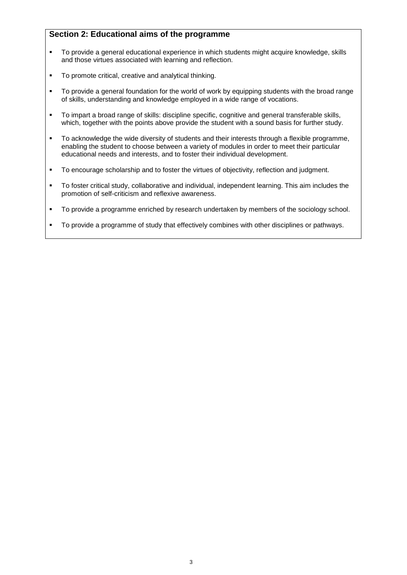### **Section 2: Educational aims of the programme**

- To provide a general educational experience in which students might acquire knowledge, skills and those virtues associated with learning and reflection.
- **To promote critical, creative and analytical thinking.**
- To provide a general foundation for the world of work by equipping students with the broad range of skills, understanding and knowledge employed in a wide range of vocations.
- To impart a broad range of skills: discipline specific, cognitive and general transferable skills, which, together with the points above provide the student with a sound basis for further study.
- To acknowledge the wide diversity of students and their interests through a flexible programme, enabling the student to choose between a variety of modules in order to meet their particular educational needs and interests, and to foster their individual development.
- To encourage scholarship and to foster the virtues of objectivity, reflection and judgment.
- To foster critical study, collaborative and individual, independent learning. This aim includes the promotion of self-criticism and reflexive awareness.
- To provide a programme enriched by research undertaken by members of the sociology school.
- To provide a programme of study that effectively combines with other disciplines or pathways.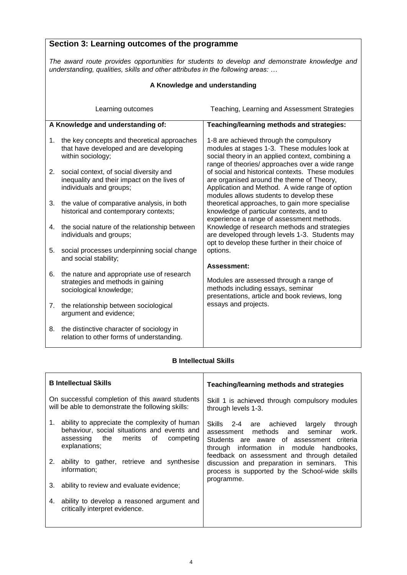|    | Section 3: Learning outcomes of the programme                                                                                                                                 |                                                                                                                                                                                                |  |  |  |
|----|-------------------------------------------------------------------------------------------------------------------------------------------------------------------------------|------------------------------------------------------------------------------------------------------------------------------------------------------------------------------------------------|--|--|--|
|    | The award route provides opportunities for students to develop and demonstrate knowledge and<br>understanding, qualities, skills and other attributes in the following areas: |                                                                                                                                                                                                |  |  |  |
|    | A Knowledge and understanding                                                                                                                                                 |                                                                                                                                                                                                |  |  |  |
|    | Learning outcomes                                                                                                                                                             | Teaching, Learning and Assessment Strategies                                                                                                                                                   |  |  |  |
|    | A Knowledge and understanding of:                                                                                                                                             | Teaching/learning methods and strategies:                                                                                                                                                      |  |  |  |
| 1. | the key concepts and theoretical approaches<br>that have developed and are developing<br>within sociology;                                                                    | 1-8 are achieved through the compulsory<br>modules at stages 1-3. These modules look at<br>social theory in an applied context, combining a<br>range of theories/ approaches over a wide range |  |  |  |
| 2. | social context, of social diversity and<br>inequality and their impact on the lives of<br>individuals and groups;                                                             | of social and historical contexts. These modules<br>are organised around the theme of Theory,<br>Application and Method. A wide range of option<br>modules allows students to develop these    |  |  |  |
| 3. | the value of comparative analysis, in both<br>historical and contemporary contexts;                                                                                           | theoretical approaches, to gain more specialise<br>knowledge of particular contexts, and to<br>experience a range of assessment methods.                                                       |  |  |  |
| 4. | the social nature of the relationship between<br>individuals and groups;                                                                                                      | Knowledge of research methods and strategies<br>are developed through levels 1-3. Students may<br>opt to develop these further in their choice of                                              |  |  |  |
| 5. | social processes underpinning social change<br>and social stability;                                                                                                          | options.<br><b>Assessment:</b>                                                                                                                                                                 |  |  |  |
| 6. | the nature and appropriate use of research<br>strategies and methods in gaining<br>sociological knowledge;                                                                    | Modules are assessed through a range of<br>methods including essays, seminar<br>presentations, article and book reviews, long                                                                  |  |  |  |
| 7. | the relationship between sociological<br>argument and evidence;                                                                                                               | essays and projects.                                                                                                                                                                           |  |  |  |
| 8. | the distinctive character of sociology in<br>relation to other forms of understanding.                                                                                        |                                                                                                                                                                                                |  |  |  |

#### **B Intellectual Skills**

| <b>B</b> Intellectual Skills                                                                                                                                                                                                                                                                                                                                            | Teaching/learning methods and strategies                                                                                                                                                                                                                                                                                                            |  |
|-------------------------------------------------------------------------------------------------------------------------------------------------------------------------------------------------------------------------------------------------------------------------------------------------------------------------------------------------------------------------|-----------------------------------------------------------------------------------------------------------------------------------------------------------------------------------------------------------------------------------------------------------------------------------------------------------------------------------------------------|--|
| On successful completion of this award students<br>will be able to demonstrate the following skills:                                                                                                                                                                                                                                                                    | Skill 1 is achieved through compulsory modules<br>through levels 1-3.                                                                                                                                                                                                                                                                               |  |
| ability to appreciate the complexity of human<br>1.<br>behaviour, social situations and events and<br>assessing the merits of<br>competing<br>explanations:<br>ability to gather, retrieve and synthesise<br>2.<br>information;<br>ability to review and evaluate evidence;<br>3.<br>ability to develop a reasoned argument and<br>4.<br>critically interpret evidence. | Skills 2-4 are achieved<br>through<br>largely<br>methods and seminar<br>work.<br>assessment<br>Students are aware of assessment criteria<br>through information in module handbooks,<br>feedback on assessment and through detailed<br>discussion and preparation in seminars. This<br>process is supported by the School-wide skills<br>programme. |  |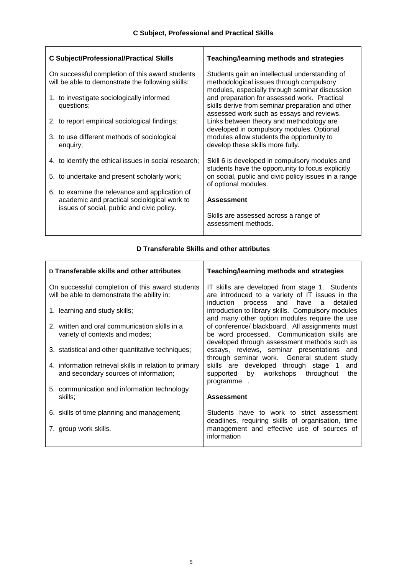| <b>C Subject/Professional/Practical Skills</b> |                                                                                                                                             | <b>Teaching/learning methods and strategies</b>                                                                                                    |  |
|------------------------------------------------|---------------------------------------------------------------------------------------------------------------------------------------------|----------------------------------------------------------------------------------------------------------------------------------------------------|--|
|                                                | On successful completion of this award students<br>will be able to demonstrate the following skills:                                        | Students gain an intellectual understanding of<br>methodological issues through compulsory                                                         |  |
|                                                | 1. to investigate sociologically informed<br>questions;                                                                                     | modules, especially through seminar discussion<br>and preparation for assessed work. Practical<br>skills derive from seminar preparation and other |  |
|                                                | 2. to report empirical sociological findings;                                                                                               | assessed work such as essays and reviews.<br>Links between theory and methodology are<br>developed in compulsory modules. Optional                 |  |
|                                                | 3. to use different methods of sociological<br>enquiry;                                                                                     | modules allow students the opportunity to<br>develop these skills more fully.                                                                      |  |
|                                                | 4. to identify the ethical issues in social research;                                                                                       | Skill 6 is developed in compulsory modules and<br>students have the opportunity to focus explicitly                                                |  |
|                                                | 5. to undertake and present scholarly work;                                                                                                 | on social, public and civic policy issues in a range<br>of optional modules.                                                                       |  |
|                                                | 6. to examine the relevance and application of<br>academic and practical sociological work to<br>issues of social, public and civic policy. | <b>Assessment</b>                                                                                                                                  |  |
|                                                |                                                                                                                                             | Skills are assessed across a range of<br>assessment methods.                                                                                       |  |
|                                                |                                                                                                                                             |                                                                                                                                                    |  |

#### **D Transferable Skills and other attributes**

| D Transferable skills and other attributes                                                      | Teaching/learning methods and strategies                                                                                                   |  |
|-------------------------------------------------------------------------------------------------|--------------------------------------------------------------------------------------------------------------------------------------------|--|
| On successful completion of this award students<br>will be able to demonstrate the ability in:  | IT skills are developed from stage 1. Students<br>are introduced to a variety of IT issues in the<br>induction process and have a detailed |  |
| 1. learning and study skills;                                                                   | introduction to library skills. Compulsory modules<br>and many other option modules require the use                                        |  |
| 2. written and oral communication skills in a                                                   | of conference/ blackboard. All assignments must                                                                                            |  |
| variety of contexts and modes;                                                                  | be word processed. Communication skills are<br>developed through assessment methods such as                                                |  |
| 3. statistical and other quantitative techniques;                                               | essays, reviews, seminar presentations and<br>through seminar work. General student study                                                  |  |
| 4. information retrieval skills in relation to primary<br>and secondary sources of information; | skills are developed through stage 1<br>and<br>by workshops<br>throughout<br>the<br>supported<br>programme                                 |  |
| 5. communication and information technology<br>skills;                                          | <b>Assessment</b>                                                                                                                          |  |
| 6. skills of time planning and management;                                                      | Students have to work to strict assessment<br>deadlines, requiring skills of organisation, time                                            |  |
| 7. group work skills.                                                                           | management and effective use of sources of<br>information                                                                                  |  |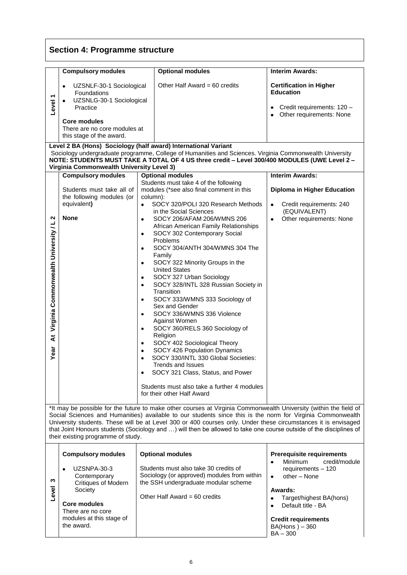# **Section 4: Programme structure**

|                                                                                                                                                                                                                                                                                                                                                                                                                                                                                                               | <b>Compulsory modules</b>                                                                                                                                                                                                                                                                                              | <b>Optional modules</b>                                                                                                                                                                                                                                                                                                                                                                                                                                                                                                                                                                                                                                                                                                                                                                                                                                                                                             | <b>Interim Awards:</b>                                                                                                                                                                                                                                          |  |  |
|---------------------------------------------------------------------------------------------------------------------------------------------------------------------------------------------------------------------------------------------------------------------------------------------------------------------------------------------------------------------------------------------------------------------------------------------------------------------------------------------------------------|------------------------------------------------------------------------------------------------------------------------------------------------------------------------------------------------------------------------------------------------------------------------------------------------------------------------|---------------------------------------------------------------------------------------------------------------------------------------------------------------------------------------------------------------------------------------------------------------------------------------------------------------------------------------------------------------------------------------------------------------------------------------------------------------------------------------------------------------------------------------------------------------------------------------------------------------------------------------------------------------------------------------------------------------------------------------------------------------------------------------------------------------------------------------------------------------------------------------------------------------------|-----------------------------------------------------------------------------------------------------------------------------------------------------------------------------------------------------------------------------------------------------------------|--|--|
| ↽<br>Level                                                                                                                                                                                                                                                                                                                                                                                                                                                                                                    | UZSNLF-30-1 Sociological<br>$\bullet$<br>Foundations<br>UZSNLG-30-1 Sociological<br>Practice<br><b>Core modules</b><br>There are no core modules at<br>this stage of the award.                                                                                                                                        | Other Half Award = 60 credits                                                                                                                                                                                                                                                                                                                                                                                                                                                                                                                                                                                                                                                                                                                                                                                                                                                                                       | <b>Certification in Higher</b><br><b>Education</b><br>Credit requirements: 120 -<br>Other requirements: None<br>٠                                                                                                                                               |  |  |
|                                                                                                                                                                                                                                                                                                                                                                                                                                                                                                               | Level 2 BA (Hons) Sociology (half award) International Variant<br>Sociology undergraduate programme, College of Humanities and Sciences. Virginia Commonwealth University<br>NOTE: STUDENTS MUST TAKE A TOTAL OF 4 US three credit - Level 300/400 MODULES (UWE Level 2 -<br>Virginia Commonwealth University Level 3) |                                                                                                                                                                                                                                                                                                                                                                                                                                                                                                                                                                                                                                                                                                                                                                                                                                                                                                                     |                                                                                                                                                                                                                                                                 |  |  |
|                                                                                                                                                                                                                                                                                                                                                                                                                                                                                                               | <b>Compulsory modules</b>                                                                                                                                                                                                                                                                                              | <b>Optional modules</b>                                                                                                                                                                                                                                                                                                                                                                                                                                                                                                                                                                                                                                                                                                                                                                                                                                                                                             | <b>Interim Awards:</b>                                                                                                                                                                                                                                          |  |  |
|                                                                                                                                                                                                                                                                                                                                                                                                                                                                                                               | Students must take all of<br>the following modules (or                                                                                                                                                                                                                                                                 | Students must take 4 of the following<br>modules (*see also final comment in this<br>column):                                                                                                                                                                                                                                                                                                                                                                                                                                                                                                                                                                                                                                                                                                                                                                                                                       | Diploma in Higher Education                                                                                                                                                                                                                                     |  |  |
| N<br>Virginia Commonwealth University / L<br>$\ddot{\mathbf{x}}$<br>Year                                                                                                                                                                                                                                                                                                                                                                                                                                      | equivalent)<br><b>None</b>                                                                                                                                                                                                                                                                                             | SOCY 320/POLI 320 Research Methods<br>$\bullet$<br>in the Social Sciences<br>SOCY 206/AFAM 206/WMNS 206<br>$\bullet$<br>African American Family Relationships<br>SOCY 302 Contemporary Social<br>$\bullet$<br>Problems<br>SOCY 304/ANTH 304/WMNS 304 The<br>٠<br>Family<br>SOCY 322 Minority Groups in the<br>$\bullet$<br><b>United States</b><br>SOCY 327 Urban Sociology<br>$\bullet$<br>SOCY 328/INTL 328 Russian Society in<br>$\bullet$<br>Transition<br>SOCY 333/WMNS 333 Sociology of<br>$\bullet$<br>Sex and Gender<br>SOCY 336/WMNS 336 Violence<br>$\bullet$<br>Against Women<br>SOCY 360/RELS 360 Sociology of<br>$\bullet$<br>Religion<br>SOCY 402 Sociological Theory<br>$\bullet$<br>SOCY 426 Population Dynamics<br>SOCY 330/INTL 330 Global Societies:<br>Trends and Issues<br>SOCY 321 Class, Status, and Power<br>٠<br>Students must also take a further 4 modules<br>for their other Half Award | Credit requirements: 240<br>$\bullet$<br>(EQUIVALENT)<br>Other requirements: None                                                                                                                                                                               |  |  |
| *It may be possible for the future to make other courses at Virginia Commonwealth University (within the field of<br>Social Sciences and Humanities) available to our students since this is the norm for Virginia Commonwealth<br>University students. These will be at Level 300 or 400 courses only. Under these circumstances it is envisaged<br>that Joint Honours students (Sociology and ) will then be allowed to take one course outside of the disciplines of<br>their existing programme of study. |                                                                                                                                                                                                                                                                                                                        |                                                                                                                                                                                                                                                                                                                                                                                                                                                                                                                                                                                                                                                                                                                                                                                                                                                                                                                     |                                                                                                                                                                                                                                                                 |  |  |
| ω<br>Level                                                                                                                                                                                                                                                                                                                                                                                                                                                                                                    | <b>Compulsory modules</b><br>UZSNPA-30-3<br>Contemporary<br><b>Critiques of Modern</b><br>Society<br><b>Core modules</b><br>There are no core<br>modules at this stage of<br>the award.                                                                                                                                | <b>Optional modules</b><br>Students must also take 30 credits of<br>Sociology (or approved) modules from within<br>the SSH undergraduate modular scheme<br>Other Half Award = $60$ credits                                                                                                                                                                                                                                                                                                                                                                                                                                                                                                                                                                                                                                                                                                                          | <b>Prerequisite requirements</b><br><b>Minimum</b><br>credit/module<br>requirements - 120<br>other - None<br>$\bullet$<br>Awards:<br>Target/highest BA(hons)<br>Default title - BA<br>$\bullet$<br><b>Credit requirements</b><br>$BA(Hons) - 360$<br>$BA - 300$ |  |  |